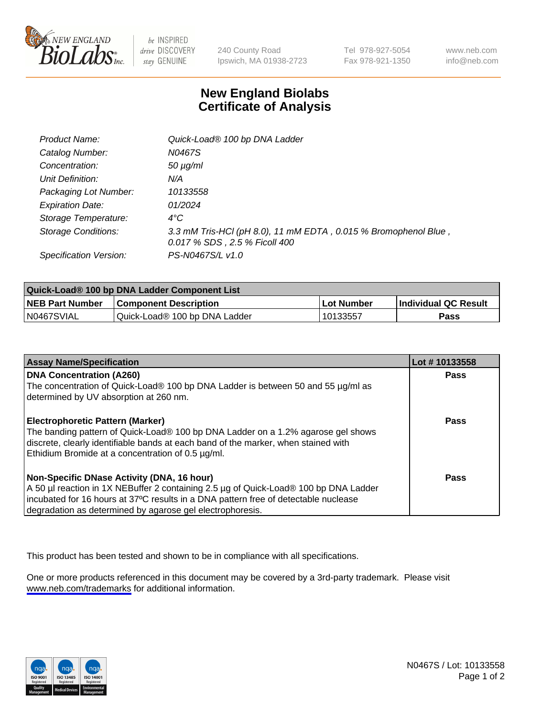

be INSPIRED drive DISCOVERY stay GENUINE

240 County Road Ipswich, MA 01938-2723 Tel 978-927-5054 Fax 978-921-1350

www.neb.com info@neb.com

## **New England Biolabs Certificate of Analysis**

| Product Name:              | Quick-Load® 100 bp DNA Ladder                                                                    |
|----------------------------|--------------------------------------------------------------------------------------------------|
| Catalog Number:            | N0467S                                                                                           |
| Concentration:             | $50 \mu g/ml$                                                                                    |
| Unit Definition:           | N/A                                                                                              |
| Packaging Lot Number:      | 10133558                                                                                         |
| <b>Expiration Date:</b>    | 01/2024                                                                                          |
| Storage Temperature:       | $4^{\circ}$ C                                                                                    |
| <b>Storage Conditions:</b> | 3.3 mM Tris-HCl (pH 8.0), 11 mM EDTA, 0.015 % Bromophenol Blue,<br>0.017 % SDS, 2.5 % Ficoll 400 |
| Specification Version:     | PS-N0467S/L v1.0                                                                                 |

| Quick-Load® 100 bp DNA Ladder Component List |                               |                   |                             |  |
|----------------------------------------------|-------------------------------|-------------------|-----------------------------|--|
| <b>NEB Part Number</b>                       | <b>Component Description</b>  | <b>Lot Number</b> | <b>Individual QC Result</b> |  |
| N0467SVIAL                                   | Quick-Load® 100 bp DNA Ladder | 10133557          | Pass                        |  |

| <b>Assay Name/Specification</b>                                                                                                         | Lot #10133558 |
|-----------------------------------------------------------------------------------------------------------------------------------------|---------------|
| <b>DNA Concentration (A260)</b><br>The concentration of Quick-Load® 100 bp DNA Ladder is between 50 and 55 µg/ml as                     | <b>Pass</b>   |
| determined by UV absorption at 260 nm.                                                                                                  |               |
| <b>Electrophoretic Pattern (Marker)</b>                                                                                                 | Pass          |
| The banding pattern of Quick-Load® 100 bp DNA Ladder on a 1.2% agarose gel shows                                                        |               |
| discrete, clearly identifiable bands at each band of the marker, when stained with<br>Ethidium Bromide at a concentration of 0.5 µg/ml. |               |
| Non-Specific DNase Activity (DNA, 16 hour)                                                                                              | Pass          |
| A 50 µl reaction in 1X NEBuffer 2 containing 2.5 µg of Quick-Load® 100 bp DNA Ladder                                                    |               |
| incubated for 16 hours at 37°C results in a DNA pattern free of detectable nuclease                                                     |               |
| degradation as determined by agarose gel electrophoresis.                                                                               |               |

This product has been tested and shown to be in compliance with all specifications.

One or more products referenced in this document may be covered by a 3rd-party trademark. Please visit <www.neb.com/trademarks>for additional information.